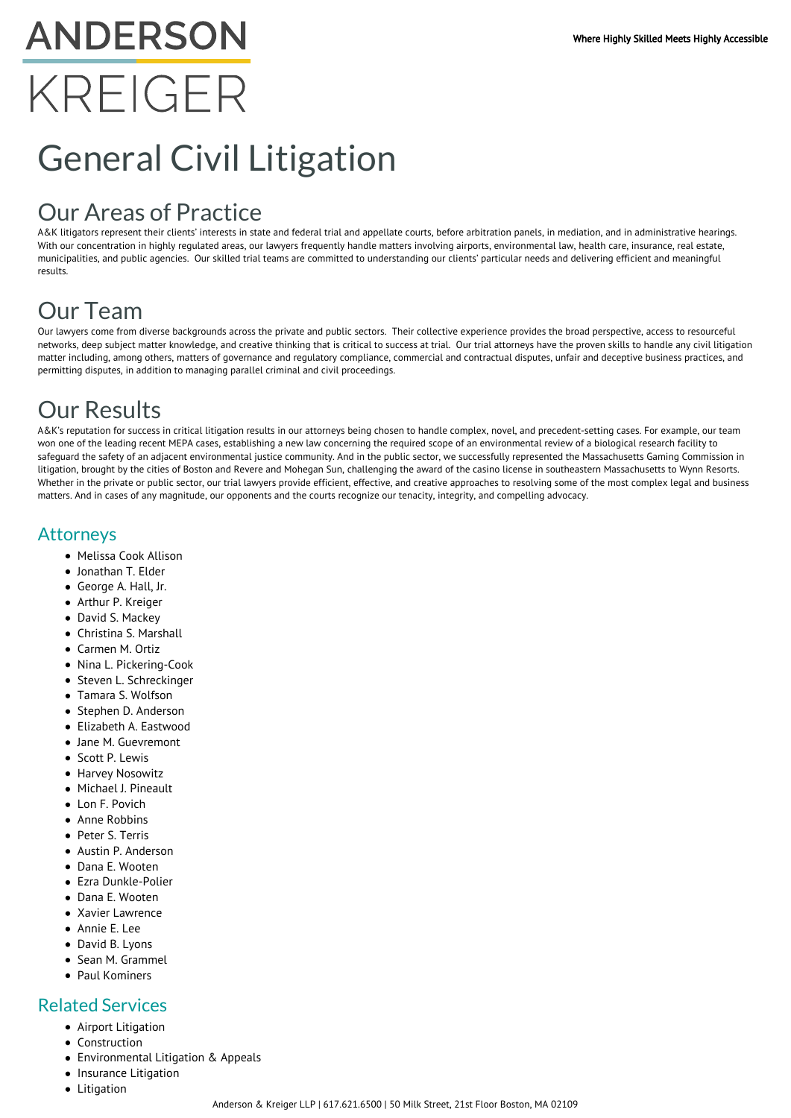# **ANDERSON** KREIGER

# General Civil Litigation

## Our Areas of Practice

A&K litigators represent their clients' interests in state and federal trial and appellate courts, before arbitration panels, in mediation, and in administrative hearings. With our concentration in highly regulated areas, our lawyers frequently handle matters involving airports, environmental law, health care, insurance, real estate, municipalities, and public agencies. Our skilled trial teams are committed to understanding our clients' particular needs and delivering efficient and meaningful results.

### Our Team

Our lawyers come from diverse backgrounds across the private and public sectors. Their collective experience provides the broad perspective, access to resourceful networks, deep subject matter knowledge, and creative thinking that is critical to success at trial. Our trial attorneys have the proven skills to handle any civil litigation matter including, among others, matters of governance and regulatory compliance, commercial and contractual disputes, unfair and deceptive business practices, and permitting disputes, in addition to managing parallel criminal and civil proceedings.

## Our Results

A&K's reputation for success in critical litigation results in our attorneys being chosen to handle complex, novel, and precedent-setting cases. For example, our team won one of the leading recent MEPA cases, establishing a new law concerning the required scope of an environmental review of a biological research facility to safeguard the safety of an adjacent environmental justice community. And in the public sector, we successfully represented the Massachusetts Gaming Commission in litigation, brought by the cities of Boston and Revere and Mohegan Sun, challenging the award of the casino license in southeastern Massachusetts to Wynn Resorts. Whether in the private or public sector, our trial lawyers provide efficient, effective, and creative approaches to resolving some of the most complex legal and business matters. And in cases of any magnitude, our opponents and the courts recognize our tenacity, integrity, and compelling advocacy.

#### Attorneys

- Melissa Cook Allison
- Jonathan T. Elder
- George A. Hall, Jr.
- Arthur P. Kreiger
- David S. Mackey
- Christina S. Marshall
- Carmen M. Ortiz
- Nina L. Pickering-Cook
- Steven L. Schreckinger
- Tamara S. Wolfson
- Stephen D. Anderson
- Elizabeth A. Eastwood
- Jane M. Guevremont
- Scott P. Lewis
- **Harvey Nosowitz**
- Michael J. Pineault
- Lon F. Povich
- Anne Robbins
- Peter S. Terris
- Austin P. Anderson
- Dana E. Wooten
- Ezra Dunkle-Polier
- Dana E. Wooten
- Xavier Lawrence
- Annie E. Lee
- David B. Lyons
- Sean M. Grammel
- Paul Kominers

#### Related Services

- Airport Litigation
- Construction
- Environmental Litigation & Appeals
- Insurance Litigation
- Litigation